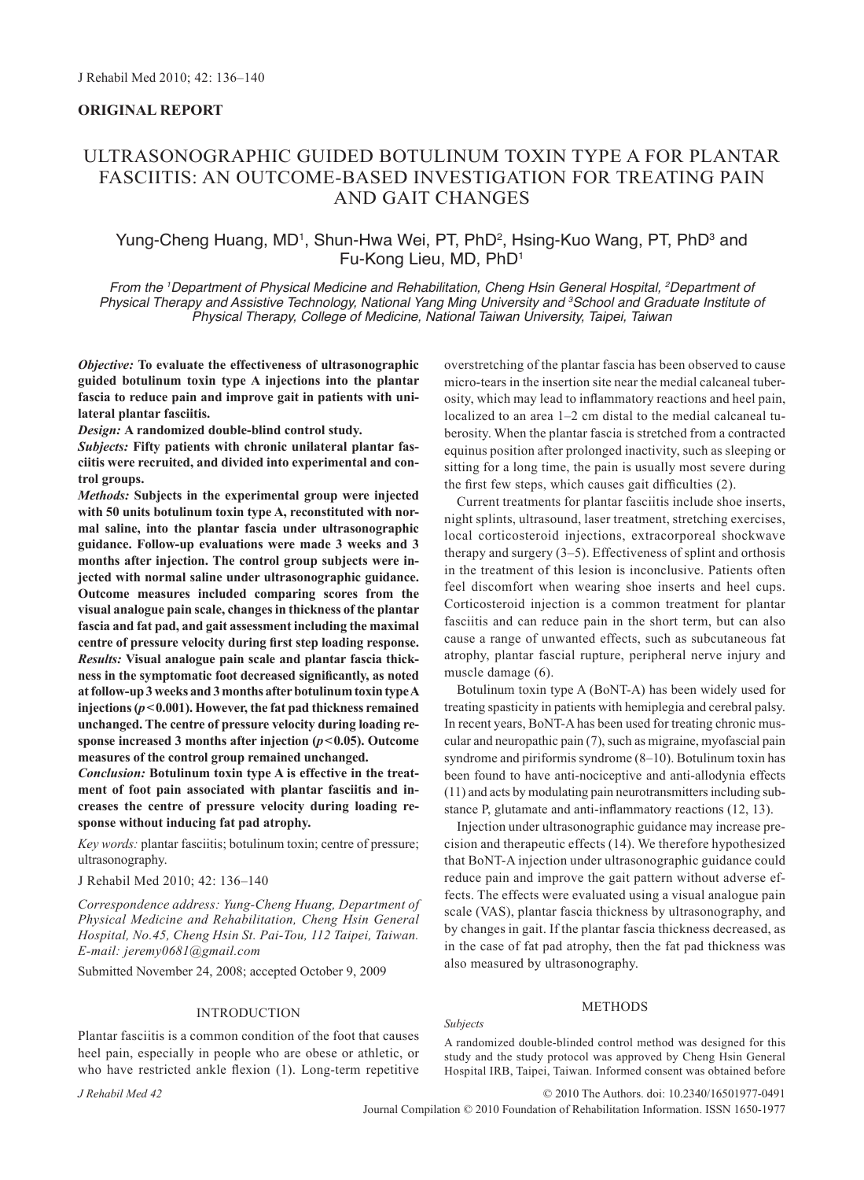# **ORIGINAL REPORT**

# ULTRASONOGRAPHIC GUIDED BOTULINUM TOXIN TYPE A FOR PLANTAR FASCIITIS: AN OUTCOME-BASED INVESTIGATION FOR TREATING PAIN AND GAIT CHANGES

## Yung-Cheng Huang, MD<sup>1</sup>, Shun-Hwa Wei, PT, PhD<sup>2</sup>, Hsing-Kuo Wang, PT, PhD<sup>3</sup> and Fu-Kong Lieu, MD, PhD1

*From the 1 Department of Physical Medicine and Rehabilitation, Cheng Hsin General Hospital, 2 Department of Physical Therapy and Assistive Technology, National Yang Ming University and 3 School and Graduate Institute of Physical Therapy, College of Medicine, National Taiwan University, Taipei, Taiwan*

*Objective:* **To evaluate the effectiveness of ultrasonographic guided botulinum toxin type A injections into the plantar fascia to reduce pain and improve gait in patients with unilateral plantar fasciitis.** 

*Design:* **A randomized double-blind control study.** 

*Subjects:* **Fifty patients with chronic unilateral plantar fasciitis were recruited, and divided into experimental and control groups.**

*Methods:* **Subjects in the experimental group were injected with 50 units botulinum toxin type A, reconstituted with normal saline, into the plantar fascia under ultrasonographic guidance. Follow-up evaluations were made 3 weeks and 3 months after injection. The control group subjects were injected with normal saline under ultrasonographic guidance. Outcome measures included comparing scores from the visual analogue pain scale, changes in thickness of the plantar fascia and fat pad, and gait assessment including the maximal centre of pressure velocity during first step loading response.**  *Results:* **Visual analogue pain scale and plantar fascia thickness in the symptomatic foot decreased significantly, as noted at follow-up 3 weeks and 3 months after botulinum toxin type A injections (***p***<0.001). However, the fat pad thickness remained unchanged. The centre of pressure velocity during loading response increased 3 months after injection (***p***<0.05). Outcome measures of the control group remained unchanged.**

*Conclusion:* **Botulinum toxin type A is effective in the treatment of foot pain associated with plantar fasciitis and increases the centre of pressure velocity during loading response without inducing fat pad atrophy.** 

*Key words:* plantar fasciitis; botulinum toxin; centre of pressure; ultrasonography.

J Rehabil Med 2010; 42: 136–140

*Correspondence address: Yung-Cheng Huang, Department of Physical Medicine and Rehabilitation, Cheng Hsin General Hospital, No.45, Cheng Hsin St. Pai-Tou, 112 Taipei, Taiwan. E-mail: jeremy0681@gmail.com*

Submitted November 24, 2008; accepted October 9, 2009

#### INTRODUCTION

Plantar fasciitis is a common condition of the foot that causes heel pain, especially in people who are obese or athletic, or who have restricted ankle flexion (1). Long-term repetitive overstretching of the plantar fascia has been observed to cause micro-tears in the insertion site near the medial calcaneal tuberosity, which may lead to inflammatory reactions and heel pain, localized to an area 1–2 cm distal to the medial calcaneal tuberosity. When the plantar fascia is stretched from a contracted equinus position after prolonged inactivity, such as sleeping or sitting for a long time, the pain is usually most severe during the first few steps, which causes gait difficulties (2).

Current treatments for plantar fasciitis include shoe inserts, night splints, ultrasound, laser treatment, stretching exercises, local corticosteroid injections, extracorporeal shockwave therapy and surgery (3–5). Effectiveness of splint and orthosis in the treatment of this lesion is inconclusive. Patients often feel discomfort when wearing shoe inserts and heel cups. Corticosteroid injection is a common treatment for plantar fasciitis and can reduce pain in the short term, but can also cause a range of unwanted effects, such as subcutaneous fat atrophy, plantar fascial rupture, peripheral nerve injury and muscle damage (6).

Botulinum toxin type A (BoNT-A) has been widely used for treating spasticity in patients with hemiplegia and cerebral palsy. In recent years, BoNT-A has been used for treating chronic muscular and neuropathic pain (7), such as migraine, myofascial pain syndrome and piriformis syndrome (8–10). Botulinum toxin has been found to have anti-nociceptive and anti-allodynia effects (11) and acts by modulating pain neurotransmitters including substance P, glutamate and anti-inflammatory reactions (12, 13).

Injection under ultrasonographic guidance may increase precision and therapeutic effects (14). We therefore hypothesized that BoNT-A injection under ultrasonographic guidance could reduce pain and improve the gait pattern without adverse effects. The effects were evaluated using a visual analogue pain scale (VAS), plantar fascia thickness by ultrasonography, and by changes in gait. If the plantar fascia thickness decreased, as in the case of fat pad atrophy, then the fat pad thickness was also measured by ultrasonography.

#### METHODS

*Subjects*

A randomized double-blinded control method was designed for this study and the study protocol was approved by Cheng Hsin General Hospital IRB, Taipei, Taiwan. Informed consent was obtained before

© 2010 The Authors. doi: 10.2340/16501977-0491

Journal Compilation © 2010 Foundation of Rehabilitation Information. ISSN 1650-1977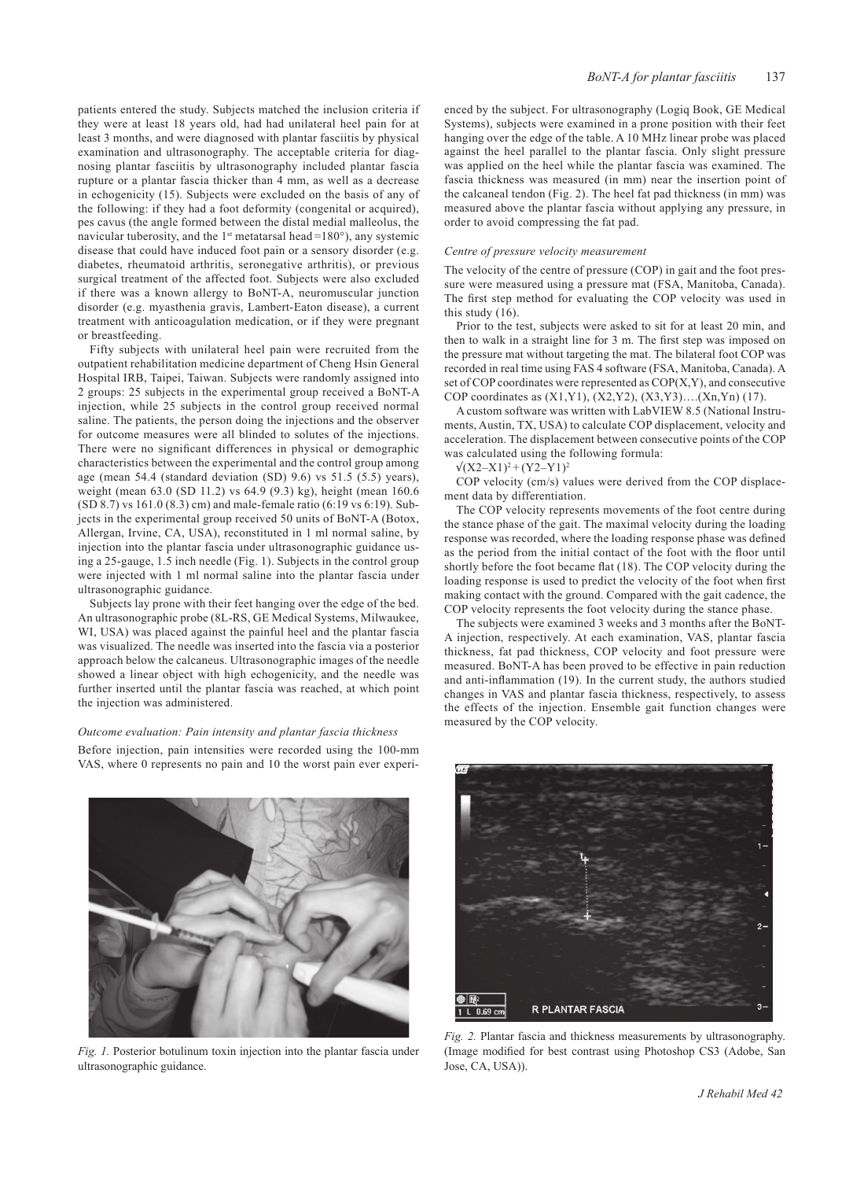patients entered the study. Subjects matched the inclusion criteria if they were at least 18 years old, had had unilateral heel pain for at least 3 months, and were diagnosed with plantar fasciitis by physical examination and ultrasonography. The acceptable criteria for diagnosing plantar fasciitis by ultrasonography included plantar fascia rupture or a plantar fascia thicker than 4 mm, as well as a decrease in echogenicity (15). Subjects were excluded on the basis of any of the following: if they had a foot deformity (congenital or acquired), pes cavus (the angle formed between the distal medial malleolus, the navicular tuberosity, and the  $1<sup>st</sup>$  metatarsal head =180 $^{\circ}$ ), any systemic disease that could have induced foot pain or a sensory disorder (e.g. diabetes, rheumatoid arthritis, seronegative arthritis), or previous surgical treatment of the affected foot. Subjects were also excluded if there was a known allergy to BoNT-A, neuromuscular junction disorder (e.g. myasthenia gravis, Lambert-Eaton disease), a current treatment with anticoagulation medication, or if they were pregnant or breastfeeding.

Fifty subjects with unilateral heel pain were recruited from the outpatient rehabilitation medicine department of Cheng Hsin General Hospital IRB, Taipei, Taiwan. Subjects were randomly assigned into 2 groups: 25 subjects in the experimental group received a BoNT-A injection, while 25 subjects in the control group received normal saline. The patients, the person doing the injections and the observer for outcome measures were all blinded to solutes of the injections. There were no significant differences in physical or demographic characteristics between the experimental and the control group among age (mean 54.4 (standard deviation  $(SD)$  9.6) vs 51.5 (5.5) years), weight (mean 63.0 (SD 11.2) vs 64.9 (9.3) kg), height (mean 160.6 (SD 8.7) vs 161.0 (8.3) cm) and male-female ratio (6:19 vs 6:19). Subjects in the experimental group received 50 units of BoNT-A (Botox, Allergan, Irvine, CA, USA), reconstituted in 1 ml normal saline, by injection into the plantar fascia under ultrasonographic guidance using a 25-gauge, 1.5 inch needle (Fig. 1). Subjects in the control group were injected with 1 ml normal saline into the plantar fascia under ultrasonographic guidance.

Subjects lay prone with their feet hanging over the edge of the bed. An ultrasonographic probe (8L-RS, GE Medical Systems, Milwaukee, WI, USA) was placed against the painful heel and the plantar fascia was visualized. The needle was inserted into the fascia via a posterior approach below the calcaneus. Ultrasonographic images of the needle showed a linear object with high echogenicity, and the needle was further inserted until the plantar fascia was reached, at which point the injection was administered.

#### *Outcome evaluation: Pain intensity and plantar fascia thickness*

Before injection, pain intensities were recorded using the 100-mm VAS, where 0 represents no pain and 10 the worst pain ever experi-



*Fig. 1.* Posterior botulinum toxin injection into the plantar fascia under ultrasonographic guidance.

enced by the subject. For ultrasonography (Logiq Book, GE Medical Systems), subjects were examined in a prone position with their feet hanging over the edge of the table. A 10 MHz linear probe was placed against the heel parallel to the plantar fascia. Only slight pressure was applied on the heel while the plantar fascia was examined. The fascia thickness was measured (in mm) near the insertion point of the calcaneal tendon (Fig. 2). The heel fat pad thickness (in mm) was measured above the plantar fascia without applying any pressure, in order to avoid compressing the fat pad.

#### *Centre of pressure velocity measurement*

The velocity of the centre of pressure (COP) in gait and the foot pressure were measured using a pressure mat (FSA, Manitoba, Canada). The first step method for evaluating the COP velocity was used in this study (16).

Prior to the test, subjects were asked to sit for at least 20 min, and then to walk in a straight line for 3 m. The first step was imposed on the pressure mat without targeting the mat. The bilateral foot COP was recorded in real time using FAS 4 software (FSA, Manitoba, Canada). A set of COP coordinates were represented as COP(X,Y), and consecutive COP coordinates as (X1,Y1), (X2,Y2), (X3,Y3)….(Xn,Yn) (17).

A custom software was written with LabVIEW 8.5 (National Instruments, Austin, TX, USA) to calculate COP displacement, velocity and acceleration. The displacement between consecutive points of the COP was calculated using the following formula:

 $\sqrt{(X2-X1)^2 + (Y2-Y1)^2}$ 

COP velocity (cm/s) values were derived from the COP displacement data by differentiation.

The COP velocity represents movements of the foot centre during the stance phase of the gait. The maximal velocity during the loading response was recorded, where the loading response phase was defined as the period from the initial contact of the foot with the floor until shortly before the foot became flat (18). The COP velocity during the loading response is used to predict the velocity of the foot when first making contact with the ground. Compared with the gait cadence, the COP velocity represents the foot velocity during the stance phase.

The subjects were examined 3 weeks and 3 months after the BoNT-A injection, respectively. At each examination, VAS, plantar fascia thickness, fat pad thickness, COP velocity and foot pressure were measured. BoNT-A has been proved to be effective in pain reduction and anti-inflammation (19). In the current study, the authors studied changes in VAS and plantar fascia thickness, respectively, to assess the effects of the injection. Ensemble gait function changes were measured by the COP velocity.



*Fig. 2.* Plantar fascia and thickness measurements by ultrasonography. (Image modified for best contrast using Photoshop CS3 (Adobe, San Jose, CA, USA)).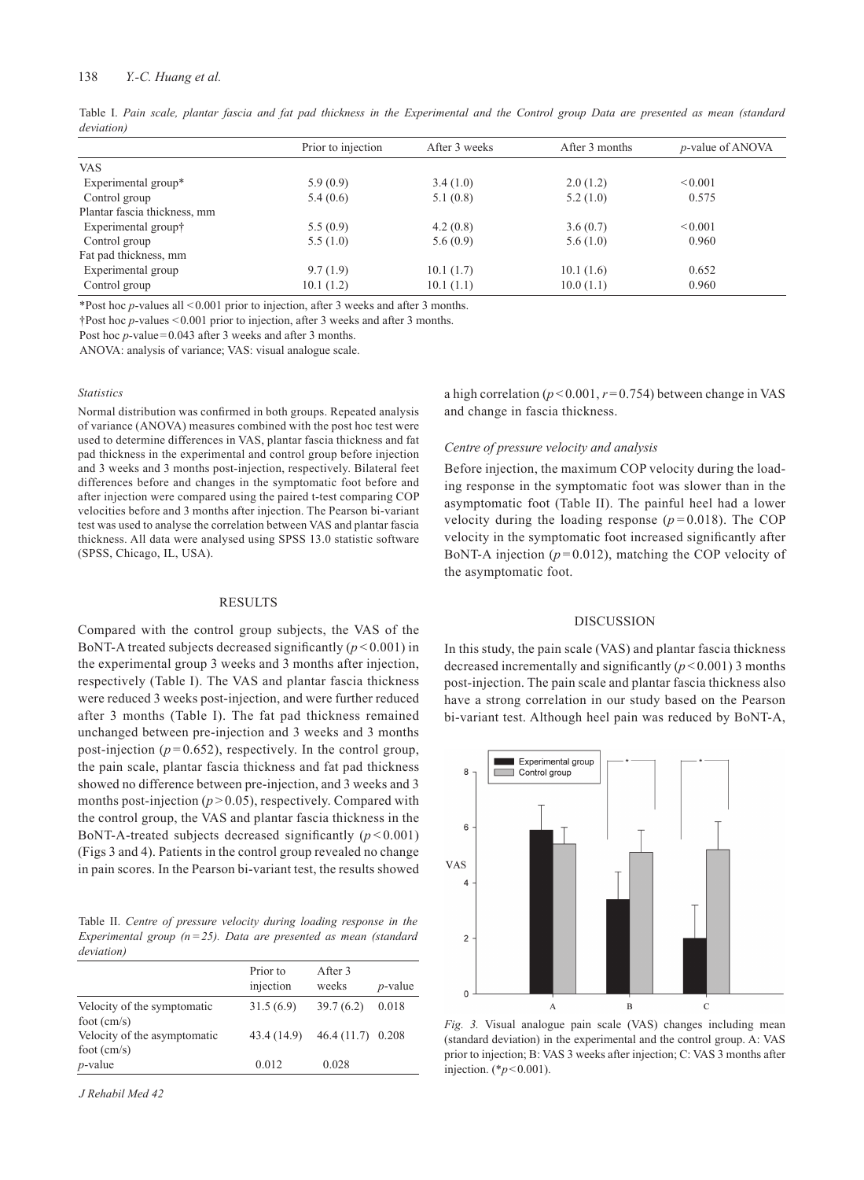### 138 *Y.-C. Huang et al.*

Table I. *Pain scale, plantar fascia and fat pad thickness in the Experimental and the Control group Data are presented as mean (standard deviation)*

|                              | Prior to injection | After 3 weeks | After 3 months | <i>p</i> -value of ANOVA |
|------------------------------|--------------------|---------------|----------------|--------------------------|
| <b>VAS</b>                   |                    |               |                |                          |
| Experimental group*          | 5.9(0.9)           | 3.4(1.0)      | 2.0(1.2)       | < 0.001                  |
| Control group                | 5.4(0.6)           | 5.1(0.8)      | 5.2(1.0)       | 0.575                    |
| Plantar fascia thickness, mm |                    |               |                |                          |
| Experimental group†          | 5.5(0.9)           | 4.2(0.8)      | 3.6(0.7)       | < 0.001                  |
| Control group                | 5.5(1.0)           | 5.6(0.9)      | 5.6(1.0)       | 0.960                    |
| Fat pad thickness, mm        |                    |               |                |                          |
| Experimental group           | 9.7(1.9)           | 10.1(1.7)     | 10.1(1.6)      | 0.652                    |
| Control group                | 10.1(1.2)          | 10.1(1.1)     | 10.0(1.1)      | 0.960                    |

\*Post hoc *p*-values all <0.001 prior to injection, after 3 weeks and after 3 months.

†Post hoc *p*-values <0.001 prior to injection, after 3 weeks and after 3 months.

Post hoc *p*-value=0.043 after 3 weeks and after 3 months.

ANOVA: analysis of variance; VAS: visual analogue scale.

#### *Statistics*

Normal distribution was confirmed in both groups. Repeated analysis of variance (ANOVA) measures combined with the post hoc test were used to determine differences in VAS, plantar fascia thickness and fat pad thickness in the experimental and control group before injection and 3 weeks and 3 months post-injection, respectively. Bilateral feet differences before and changes in the symptomatic foot before and after injection were compared using the paired t-test comparing COP velocities before and 3 months after injection. The Pearson bi-variant test was used to analyse the correlation between VAS and plantar fascia thickness. All data were analysed using SPSS 13.0 statistic software (SPSS, Chicago, IL, USA).

#### RESULTS

Compared with the control group subjects, the VAS of the BoNT-A treated subjects decreased significantly  $(p<0.001)$  in the experimental group 3 weeks and 3 months after injection, respectively (Table I). The VAS and plantar fascia thickness were reduced 3 weeks post-injection, and were further reduced after 3 months (Table I). The fat pad thickness remained unchanged between pre-injection and 3 weeks and 3 months post-injection  $(p=0.652)$ , respectively. In the control group, the pain scale, plantar fascia thickness and fat pad thickness showed no difference between pre-injection, and 3 weeks and 3 months post-injection  $(p > 0.05)$ , respectively. Compared with the control group, the VAS and plantar fascia thickness in the BoNT-A-treated subjects decreased significantly  $(p < 0.001)$ (Figs 3 and 4). Patients in the control group revealed no change in pain scores. In the Pearson bi-variant test, the results showed

Table II. *Centre of pressure velocity during loading response in the Experimental group (n=25). Data are presented as mean (standard deviation)*

|                                                      | Prior to<br>injection | After 3<br>weeks   | $p$ -value |
|------------------------------------------------------|-----------------------|--------------------|------------|
| Velocity of the symptomatic                          | 31.5(6.9)             | 39.7(6.2)          | 0.018      |
| foot $\text{(cm/s)}$<br>Velocity of the asymptomatic | 43.4 (14.9)           | $46.4(11.7)$ 0.208 |            |
| foot $\text{(cm/s)}$<br>$p$ -value                   | 0.012                 | 0.028              |            |

*J Rehabil Med 42*

a high correlation ( $p < 0.001$ ,  $r = 0.754$ ) between change in VAS and change in fascia thickness.

### *Centre of pressure velocity and analysis*

Before injection, the maximum COP velocity during the loading response in the symptomatic foot was slower than in the asymptomatic foot (Table II). The painful heel had a lower velocity during the loading response  $(p=0.018)$ . The COP velocity in the symptomatic foot increased significantly after BoNT-A injection  $(p=0.012)$ , matching the COP velocity of the asymptomatic foot.

#### DISCUSSION

In this study, the pain scale (VAS) and plantar fascia thickness decreased incrementally and significantly  $(p < 0.001)$  3 months post-injection. The pain scale and plantar fascia thickness also have a strong correlation in our study based on the Pearson bi-variant test. Although heel pain was reduced by BoNT-A,



*Fig. 3.* Visual analogue pain scale (VAS) changes including mean (standard deviation) in the experimental and the control group. A: VAS prior to injection; B: VAS 3 weeks after injection; C: VAS 3 months after injection. (\**p*<0.001).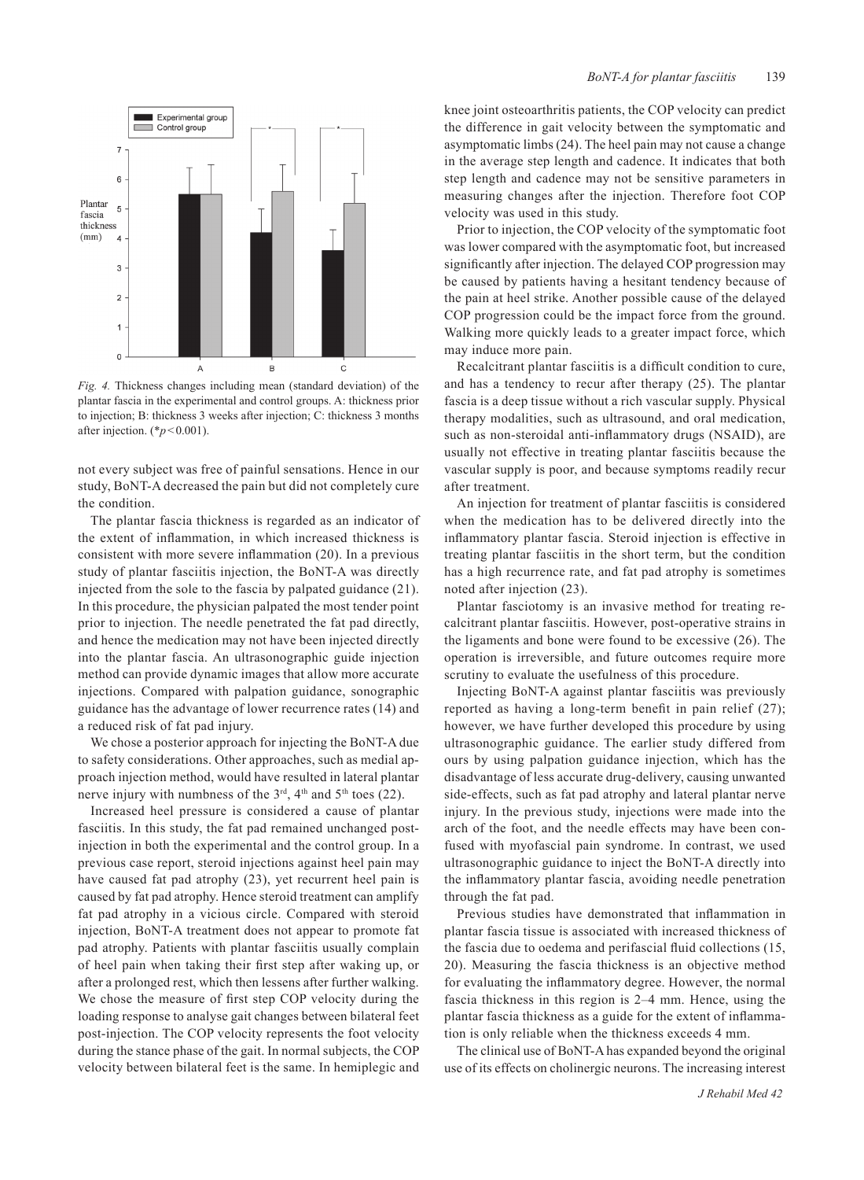

*Fig. 4.* Thickness changes including mean (standard deviation) of the plantar fascia in the experimental and control groups. A: thickness prior to injection; B: thickness 3 weeks after injection; C: thickness 3 months after injection. (\**p*<0.001).

not every subject was free of painful sensations. Hence in our study, BoNT-A decreased the pain but did not completely cure the condition.

The plantar fascia thickness is regarded as an indicator of the extent of inflammation, in which increased thickness is consistent with more severe inflammation (20). In a previous study of plantar fasciitis injection, the BoNT-A was directly injected from the sole to the fascia by palpated guidance (21). In this procedure, the physician palpated the most tender point prior to injection. The needle penetrated the fat pad directly, and hence the medication may not have been injected directly into the plantar fascia. An ultrasonographic guide injection method can provide dynamic images that allow more accurate injections. Compared with palpation guidance, sonographic guidance has the advantage of lower recurrence rates (14) and a reduced risk of fat pad injury.

We chose a posterior approach for injecting the BoNT-A due to safety considerations. Other approaches, such as medial approach injection method, would have resulted in lateral plantar nerve injury with numbness of the  $3<sup>rd</sup>$ ,  $4<sup>th</sup>$  and  $5<sup>th</sup>$  toes (22).

Increased heel pressure is considered a cause of plantar fasciitis. In this study, the fat pad remained unchanged postinjection in both the experimental and the control group. In a previous case report, steroid injections against heel pain may have caused fat pad atrophy (23), yet recurrent heel pain is caused by fat pad atrophy. Hence steroid treatment can amplify fat pad atrophy in a vicious circle. Compared with steroid injection, BoNT-A treatment does not appear to promote fat pad atrophy. Patients with plantar fasciitis usually complain of heel pain when taking their first step after waking up, or after a prolonged rest, which then lessens after further walking. We chose the measure of first step COP velocity during the loading response to analyse gait changes between bilateral feet post-injection. The COP velocity represents the foot velocity during the stance phase of the gait. In normal subjects, the COP velocity between bilateral feet is the same. In hemiplegic and knee joint osteoarthritis patients, the COP velocity can predict the difference in gait velocity between the symptomatic and asymptomatic limbs (24). The heel pain may not cause a change in the average step length and cadence. It indicates that both step length and cadence may not be sensitive parameters in measuring changes after the injection. Therefore foot COP velocity was used in this study.

Prior to injection, the COP velocity of the symptomatic foot was lower compared with the asymptomatic foot, but increased significantly after injection. The delayed COP progression may be caused by patients having a hesitant tendency because of the pain at heel strike. Another possible cause of the delayed COP progression could be the impact force from the ground. Walking more quickly leads to a greater impact force, which may induce more pain.

Recalcitrant plantar fasciitis is a difficult condition to cure, and has a tendency to recur after therapy (25). The plantar fascia is a deep tissue without a rich vascular supply. Physical therapy modalities, such as ultrasound, and oral medication, such as non-steroidal anti-inflammatory drugs (NSAID), are usually not effective in treating plantar fasciitis because the vascular supply is poor, and because symptoms readily recur after treatment.

An injection for treatment of plantar fasciitis is considered when the medication has to be delivered directly into the inflammatory plantar fascia. Steroid injection is effective in treating plantar fasciitis in the short term, but the condition has a high recurrence rate, and fat pad atrophy is sometimes noted after injection (23).

Plantar fasciotomy is an invasive method for treating recalcitrant plantar fasciitis. However, post-operative strains in the ligaments and bone were found to be excessive (26). The operation is irreversible, and future outcomes require more scrutiny to evaluate the usefulness of this procedure.

Injecting BoNT-A against plantar fasciitis was previously reported as having a long-term benefit in pain relief (27); however, we have further developed this procedure by using ultrasonographic guidance. The earlier study differed from ours by using palpation guidance injection, which has the disadvantage of less accurate drug-delivery, causing unwanted side-effects, such as fat pad atrophy and lateral plantar nerve injury. In the previous study, injections were made into the arch of the foot, and the needle effects may have been confused with myofascial pain syndrome. In contrast, we used ultrasonographic guidance to inject the BoNT-A directly into the inflammatory plantar fascia, avoiding needle penetration through the fat pad.

Previous studies have demonstrated that inflammation in plantar fascia tissue is associated with increased thickness of the fascia due to oedema and perifascial fluid collections (15, 20). Measuring the fascia thickness is an objective method for evaluating the inflammatory degree. However, the normal fascia thickness in this region is 2–4 mm. Hence, using the plantar fascia thickness as a guide for the extent of inflammation is only reliable when the thickness exceeds 4 mm.

The clinical use of BoNT-A has expanded beyond the original use of its effects on cholinergic neurons. The increasing interest